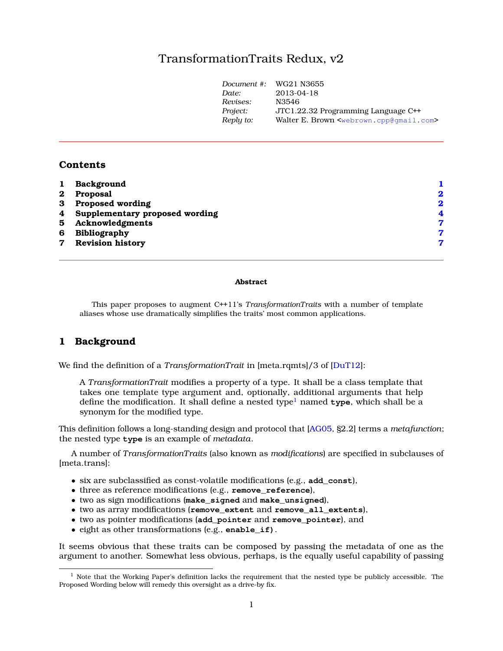# TransformationTraits Redux, v2

| Document #: | WG21 N3655                                                      |
|-------------|-----------------------------------------------------------------|
| Date:       | 2013-04-18                                                      |
| Revises:    | N3546                                                           |
| Project:    | JTC1.22.32 Programming Language C++                             |
| Reply to:   | Walter E. Brown <webrown.cpp@qmail.com></webrown.cpp@qmail.com> |
|             |                                                                 |

### **Contents**

| $\mathbf{1}$ | Background                       |              |
|--------------|----------------------------------|--------------|
| $\bf{2}^-$   | Proposal                         | $\mathbf 2$  |
| 3            | <b>Proposed wording</b>          | $\mathbf{2}$ |
|              | 4 Supplementary proposed wording | 4            |
|              | 5 Acknowledgments                | 7            |
| 6            | <b>Bibliography</b>              | 7            |
| $\mathbf{7}$ | <b>Revision history</b>          | 7            |
|              |                                  |              |

#### **Abstract**

This paper proposes to augment C++11's *TransformationTraits* with a number of template aliases whose use dramatically simplifies the traits' most common applications.

#### <span id="page-0-0"></span>**1 Background**

We find the definition of a *TransformationTrait* in [meta.rqmts]/3 of [\[DuT12\]](#page-6-3):

A *TransformationTrait* modifies a property of a type. It shall be a class template that takes one template type argument and, optionally, additional arguments that help define the modification. It shall define a nested type<sup>[1](#page-0-1)</sup> named **type**, which shall be a synonym for the modified type.

This definition follows a long-standing design and protocol that [\[AG05,](#page-6-4) §2.2] terms a *metafunction*; the nested type **type** is an example of *metadata*.

A number of *TransformationTraits* (also known as *modifications*) are specified in subclauses of [meta.trans]:

- six are subclassified as const-volatile modifications (e.g., **add\_const**),
- three as reference modifications (e.g., **remove\_reference**),
- two as sign modifications (**make\_signed** and **make\_unsigned**),
- two as array modifications (**remove\_extent** and **remove\_all\_extents**),
- two as pointer modifications (**add\_pointer** and **remove\_pointer**), and
- eight as other transformations (e.g., **enable\_if)**.

It seems obvious that these traits can be composed by passing the metadata of one as the argument to another. Somewhat less obvious, perhaps, is the equally useful capability of passing

<span id="page-0-1"></span> $1$  Note that the Working Paper's definition lacks the requirement that the nested type be publicly accessible. The Proposed Wording below will remedy this oversight as a drive-by fix.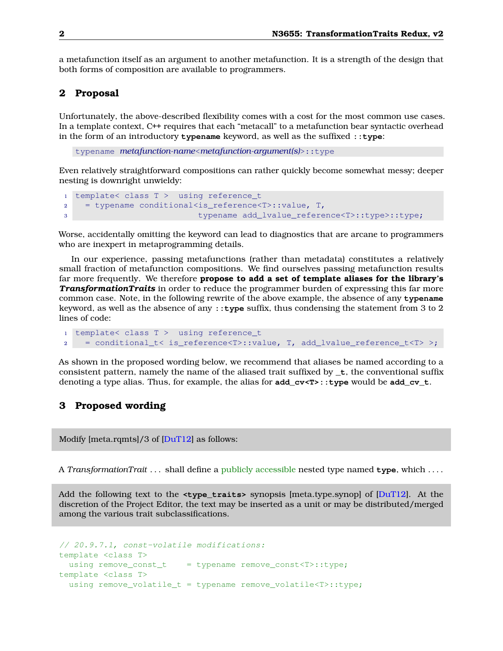a metafunction itself as an argument to another metafunction. It is a strength of the design that both forms of composition are available to programmers.

#### <span id="page-1-0"></span>**2 Proposal**

Unfortunately, the above-described flexibility comes with a cost for the most common use cases. In a template context, C++ requires that each "metacall" to a metafunction bear syntactic overhead in the form of an introductory **typename** keyword, as well as the suffixed **::type**:

typename *metafunction-name*<*metafunction-argument(s)*>::type

Even relatively straightforward compositions can rather quickly become somewhat messy; deeper nesting is downright unwieldy:

```
1 template< class T > using reference_t
2 = typename conditional<is_reference<T>::value, T,
3 typename add_lvalue_reference<T>::type>::type;
```
Worse, accidentally omitting the keyword can lead to diagnostics that are arcane to programmers who are inexpert in metaprogramming details.

In our experience, passing metafunctions (rather than metadata) constitutes a relatively small fraction of metafunction compositions. We find ourselves passing metafunction results far more frequently. We therefore **propose to add a set of template aliases for the library's** *TransformationTraits* in order to reduce the programmer burden of expressing this far more common case. Note, in the following rewrite of the above example, the absence of any **typename** keyword, as well as the absence of any **::type** suffix, thus condensing the statement from 3 to 2 lines of code:

```
1 template< class T > using reference_t
2 = conditional_t< is_reference<T>::value, T, add_lvalue_reference_t<T> >;
```
As shown in the proposed wording below, we recommend that aliases be named according to a consistent pattern, namely the name of the aliased trait suffixed by  $\cdot t$ , the conventional suffix denoting a type alias. Thus, for example, the alias for **add\_cv<T>::type** would be **add\_cv\_t**.

#### <span id="page-1-1"></span>**3 Proposed wording**

Modify [meta.rqmts]/3 of [\[DuT12\]](#page-6-3) as follows:

A *TransformationTrait* . . . shall define a publicly accessible nested type named **type**, which . . . .

Add the following text to the **<type\_traits>** synopsis [meta.type.synop] of [\[DuT12\]](#page-6-3). At the discretion of the Project Editor, the text may be inserted as a unit or may be distributed/merged among the various trait subclassifications.

```
// 20.9.7.1, const-volatile modifications:
template <class T>
  using remove_const_t = typename remove_const<T>::type;
template <class T>
  using remove_volatile_t = typename remove_volatile<T>::type;
```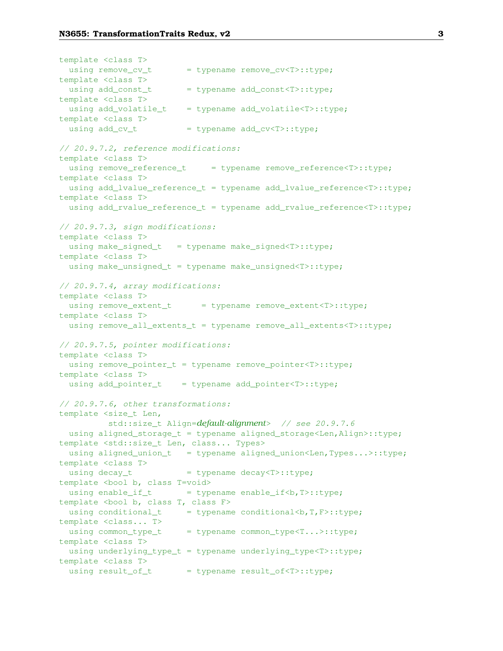template <class T> using remove  $cv$   $t$  = typename remove  $cv < T$  $\ge$ :type; template <class T> using  $add\_const\_t$  = typename  $add\_const < T$ >::type; template <class T> using add\_volatile\_t = typename add\_volatile<T>::type; template <class T> using  $add\_cv\_t$  = typename  $add\_cv < T$ ::type; // 20.9.7.2, reference modifications: template <class T> using remove\_reference\_t = typename remove\_reference<T>::type; template <class T> using add\_lvalue\_reference\_t = typename add\_lvalue\_reference<T>::type; template <class T> using add\_rvalue\_reference\_t = typename add\_rvalue\_reference<T>::type; // 20.9.7.3, sign modifications: template <class T> using make\_signed\_t = typename make\_signed<T>::type; template <class T> using make\_unsigned\_t = typename make\_unsigned<T>::type; // 20.9.7.4, array modifications: template <class T> using remove\_extent\_t = typename remove\_extent<T>::type; template <class T> using remove\_all\_extents\_t = typename remove\_all\_extents<T>::type; // 20.9.7.5, pointer modifications: template <class T> using remove\_pointer\_t = typename remove\_pointer<T>::type; template <class T> using add\_pointer\_t = typename add\_pointer<T>::type; // 20.9.7.6, other transformations: template <size\_t Len, std::size\_t Align=*default-alignment*> // see 20.9.7.6 using aligned\_storage\_t = typename aligned\_storage<Len,Align>::type; template <std::size\_t Len, class... Types> using aligned\_union\_t = typename aligned\_union<Len,Types...>::type; template <class T> using decay\_t  $=$  typename decay<T>::type; template <bool b, class T=void> using enable\_if\_t  $=$  typename enable\_if<br/>b. T>::type; template <bool b, class T, class F> using conditional\_t = typename conditional<br/> <br/>type; template <class... T> using common\_type\_t = typename common\_type<T...>::type; template <class T> using underlying\_type\_t = typename underlying\_type<T>::type; template <class T> using result of  $t = typename$  result of<T>::type;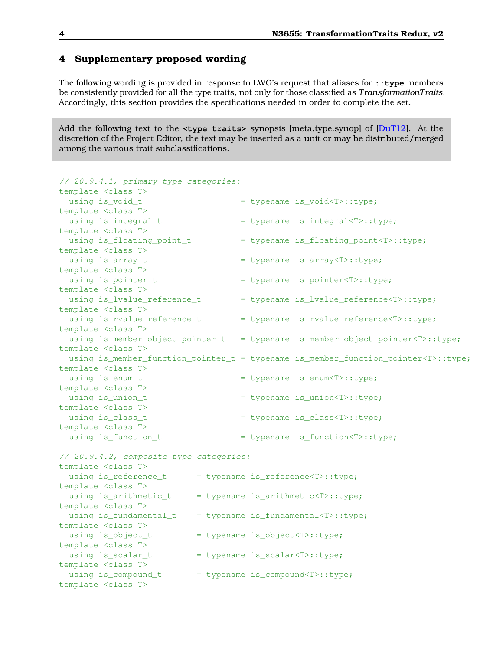# <span id="page-3-0"></span>**4 Supplementary proposed wording**

The following wording is provided in response to LWG's request that aliases for **::type** members be consistently provided for all the type traits, not only for those classified as *TransformationTraits*. Accordingly, this section provides the specifications needed in order to complete the set.

Add the following text to the **<type\_traits>** synopsis [meta.type.synop] of [\[DuT12\]](#page-6-3). At the discretion of the Project Editor, the text may be inserted as a unit or may be distributed/merged among the various trait subclassifications.

| // 20.9.4.1, primary type categories:   |  |                                                                                         |
|-----------------------------------------|--|-----------------------------------------------------------------------------------------|
| template <class t=""></class>           |  |                                                                                         |
| using is_void_t                         |  | = typename is_void <t>::type;</t>                                                       |
| template <class t=""></class>           |  |                                                                                         |
| using is_integral_t                     |  | = typename is_integral <t>::type;</t>                                                   |
| template <class t=""></class>           |  |                                                                                         |
| using is_floating_point_t               |  | = typename is_floating_point <t>::type;</t>                                             |
| template <class t=""></class>           |  |                                                                                         |
| using is_array_t                        |  | = typename is_array <t>::type;</t>                                                      |
| template <class t=""></class>           |  |                                                                                         |
| using is_pointer_t                      |  | = typename is_pointer <t>::type;</t>                                                    |
| template <class t=""></class>           |  |                                                                                         |
| using is_lvalue_reference_t             |  | = typename is_lvalue_reference <t>::type;</t>                                           |
| template <class t=""></class>           |  |                                                                                         |
| using is_rvalue_reference_t             |  | = typename is_rvalue_reference <t>::type;</t>                                           |
| template <class t=""></class>           |  |                                                                                         |
|                                         |  | using is_member_object_pointer_t = typename is_member_object_pointer <t>::type;</t>     |
| template <class t=""></class>           |  |                                                                                         |
|                                         |  | using is_member_function_pointer_t = typename is_member_function_pointer <t>::type;</t> |
| template <class t=""></class>           |  |                                                                                         |
| using is_enum_t                         |  | = typename is_enum <t>::type;</t>                                                       |
| template <class t=""></class>           |  |                                                                                         |
| using is_union_t                        |  | = typename is_union <t>::type;</t>                                                      |
| template <class t=""></class>           |  |                                                                                         |
| using is_class_t                        |  | = typename is_class <t>::type;</t>                                                      |
| template <class t=""></class>           |  |                                                                                         |
| using is_function_t                     |  | = typename is_function <t>::type;</t>                                                   |
| // 20.9.4.2, composite type categories: |  |                                                                                         |
| template <class t=""></class>           |  |                                                                                         |
| using is_reference_t                    |  | = typename is_reference <t>::type;</t>                                                  |
| template <class t=""></class>           |  |                                                                                         |
| using is_arithmetic_t                   |  | = typename is_arithmetic <t>::type;</t>                                                 |
| template <class t=""></class>           |  |                                                                                         |
| using is_fundamental_t                  |  | = typename is_fundamental <t>::type;</t>                                                |
| template <class t=""></class>           |  |                                                                                         |
| using is_object_t                       |  | = typename is_object <t>::type;</t>                                                     |
| template <class t=""></class>           |  |                                                                                         |
| using is_scalar_t                       |  | = typename is_scalar <t>::type;</t>                                                     |
| template <class t=""></class>           |  |                                                                                         |
| using is_compound_t                     |  | = typename is_compound <t>::type;</t>                                                   |
| template <class t=""></class>           |  |                                                                                         |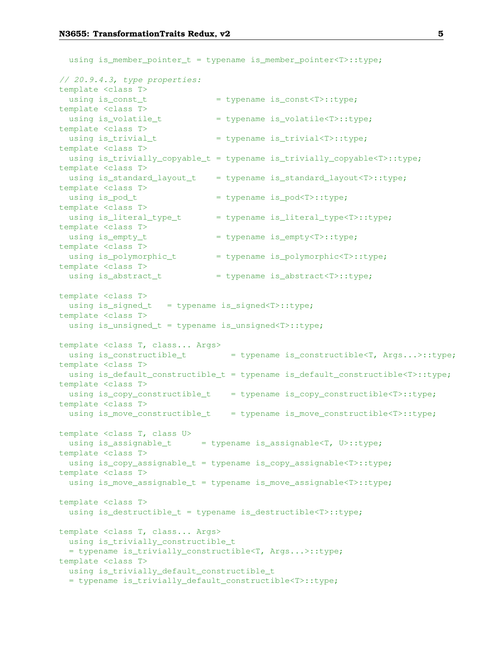using is\_member\_pointer\_t = typename is\_member\_pointer<T>::type; // 20.9.4.3, type properties: template <class T> using is\_const\_t  $=$  typename is\_const<T>::type; template <class T> using is volatile t  $=$  typename is volatile<T>::type; template <class T> using is\_trivial\_t = typename is\_trivial<T>::type; template <class T> using is\_trivially\_copyable\_t = typename is\_trivially\_copyable<T>::type; template <class T> using is\_standard\_layout\_t = typename is\_standard\_layout<T>::type; template <class T> using is\_pod\_t  $=$  typename is\_pod<T>::type; template <class T> using is\_literal\_type\_t = typename is\_literal\_type<T>::type; template <class T> using is\_empty\_t  $=$  typename is\_empty<T>::type; template <class T> using is\_polymorphic\_t = typename is\_polymorphic<T>::type; template <class T> using is\_abstract\_t = typename is\_abstract<T>::type; template <class T> using is\_signed\_t = typename is\_signed<T>::type; template <class T> using is\_unsigned\_t = typename is\_unsigned<T>::type; template <class T, class... Args> using is\_constructible\_t = typename is\_constructible<T, Args...>::type; template <class T> using is\_default\_constructible\_t = typename is\_default\_constructible<T>::type; template <class T> using is\_copy\_constructible\_t = typename is\_copy\_constructible<T>::type; template <class T> using is\_move\_constructible\_t = typename is\_move\_constructible<T>::type; template <class T, class U> using is\_assignable\_t = typename is\_assignable<T, U>::type; template <class T> using is\_copy\_assignable\_t = typename is\_copy\_assignable<T>::type; template <class T> using is\_move\_assignable\_t = typename is\_move\_assignable<T>::type; template <class T> using is\_destructible\_t = typename is\_destructible<T>::type; template <class T, class... Args> using is\_trivially\_constructible\_t = typename is\_trivially\_constructible<T, Args...>::type; template <class T> using is\_trivially\_default\_constructible\_t = typename is\_trivially\_default\_constructible<T>::type;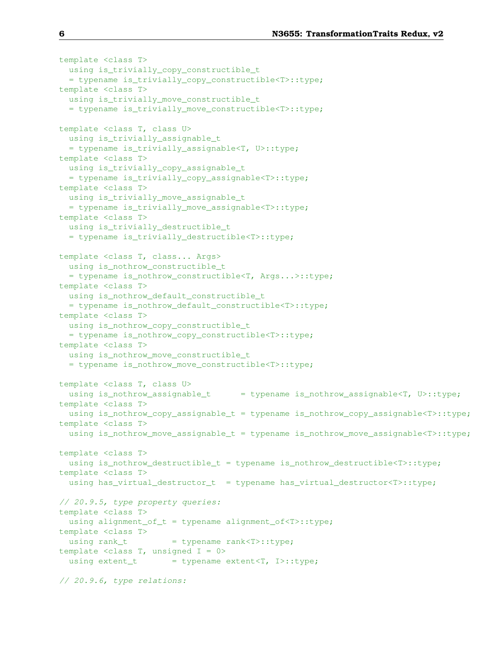```
template <class T>
 using is_trivially_copy_constructible_t
  = typename is_trivially_copy_constructible<T>::type;
template <class T>
 using is_trivially_move_constructible_t
  = typename is_trivially_move_constructible<T>::type;
template <class T, class U>
 using is_trivially_assignable_t
 = typename is_trivially_assignable<T, U>::type;
template <class T>
 using is_trivially_copy_assignable_t
  = typename is_trivially_copy_assignable<T>::type;
template <class T>
 using is_trivially_move_assignable_t
 = typename is_trivially_move_assignable<T>::type;
template <class T>
 using is_trivially_destructible_t
 = typename is_trivially_destructible<T>::type;
template <class T, class... Args>
 using is_nothrow_constructible_t
 = typename is_nothrow_constructible<T, Args...>::type;
template <class T>
 using is_nothrow_default_constructible_t
  = typename is_nothrow_default_constructible<T>::type;
template <class T>
 using is_nothrow_copy_constructible_t
  = typename is_nothrow_copy_constructible<T>::type;
template <class T>
 using is_nothrow_move_constructible_t
  = typename is_nothrow_move_constructible<T>::type;
template <class T, class U>
 using is_nothrow_assignable_t = typename is_nothrow_assignable<T, U>::type;
template <class T>
 using is_nothrow_copy_assignable_t = typename is_nothrow_copy_assignable<T>::type;
template <class T>
 using is_nothrow_move_assignable_t = typename is_nothrow_move_assignable<T>::type;
template <class T>
 using is_nothrow_destructible_t = typename is_nothrow_destructible<T>::type;
template <class T>
  using has_virtual_destructor_t = typename has_virtual_destructor<T>::type;
// 20.9.5, type property queries:
template <class T>
 using alignment_of_t = typename alignment_of<T>::type;
template <class T>
 using rank_t = typename rank<T>::type;
template <class T, unsigned I = 0>
 using extent_t = typename extent<T, I>::type;
// 20.9.6, type relations:
```